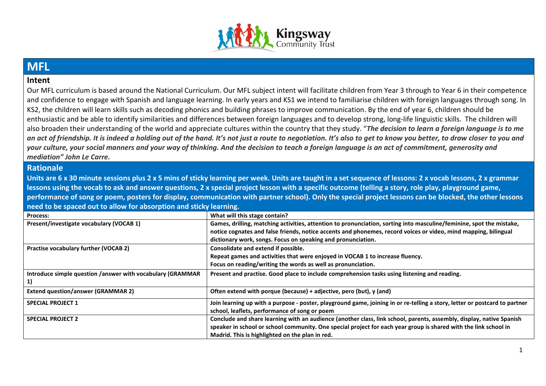

## **MFL**

## **Intent**

Our MFL curriculum is based around the National Curriculum. Our MFL subject intent will facilitate children from Year 3 through to Year 6 in their competence and confidence to engage with Spanish and language learning. In early years and KS1 we intend to familiarise children with foreign languages through song. In KS2, the children will learn skills such as decoding phonics and building phrases to improve communication. By the end of year 6, children should be enthusiastic and be able to identify similarities and differences between foreign languages and to develop strong, long-life linguistic skills. The children will also broaden their understanding of the world and appreciate cultures within the country that they study. "*The decision to learn a foreign language is to me an act of friendship. It is indeed a holding out of the hand. It's not just a route to negotiation. It's also to get to know you better, to draw closer to you and your culture, your social manners and your way of thinking. And the decision to teach a foreign language is an act of commitment, generosity and mediation" John Le Carre.*

## **Rationale**

**Units are 6 x 30 minute sessions plus 2 x 5 mins of sticky learning per week. Units are taught in a set sequence of lessons: 2 x vocab lessons, 2 x grammar lessons using the vocab to ask and answer questions, 2 x special project lesson with a specific outcome (telling a story, role play, playground game, performance of song or poem, posters for display, communication with partner school). Only the special project lessons can be blocked, the other lessons need to be spaced out to allow for absorption and sticky learning.**

| <b>Process:</b>                                            | What will this stage contain?                                                                                              |
|------------------------------------------------------------|----------------------------------------------------------------------------------------------------------------------------|
| Present/investigate vocabulary (VOCAB 1)                   | Games, drilling, matching activities, attention to pronunciation, sorting into masculine/feminine, spot the mistake,       |
|                                                            | notice cognates and false friends, notice accents and phonemes, record voices or video, mind mapping, bilingual            |
|                                                            | dictionary work, songs. Focus on speaking and pronunciation.                                                               |
| Practise vocabulary further (VOCAB 2)                      | Consolidate and extend if possible.                                                                                        |
|                                                            | Repeat games and activities that were enjoyed in VOCAB 1 to increase fluency.                                              |
|                                                            | Focus on reading/writing the words as well as pronunciation.                                                               |
| Introduce simple question /answer with vocabulary (GRAMMAR | Present and practise. Good place to include comprehension tasks using listening and reading.                               |
| 1)                                                         |                                                                                                                            |
| <b>Extend question/answer (GRAMMAR 2)</b>                  | Often extend with porque (because) + adjective, pero (but), y (and)                                                        |
| <b>SPECIAL PROJECT 1</b>                                   | Join learning up with a purpose - poster, playground game, joining in or re-telling a story, letter or postcard to partner |
|                                                            | school, leaflets, performance of song or poem                                                                              |
| <b>SPECIAL PROJECT 2</b>                                   | Conclude and share learning with an audience (another class, link school, parents, assembly, display, native Spanish       |
|                                                            | speaker in school or school community. One special project for each year group is shared with the link school in           |
|                                                            | Madrid. This is highlighted on the plan in red.                                                                            |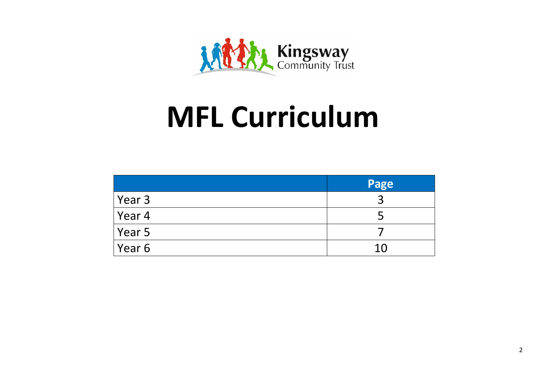

## **MFL Curriculum**

|        | Page |
|--------|------|
| Year 3 |      |
| Year 4 |      |
| Year 5 |      |
| Year 6 | 10   |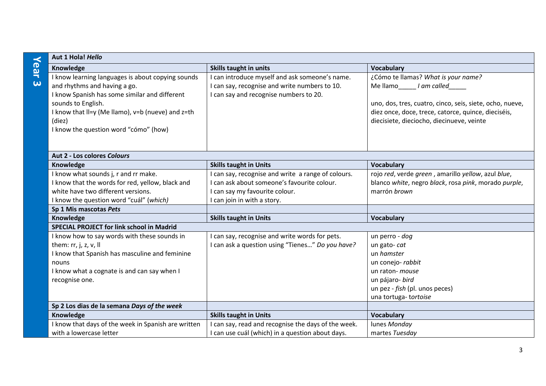|                       | Aut 1 Hola! Hello                                           |                                                     |                                                                                                  |  |
|-----------------------|-------------------------------------------------------------|-----------------------------------------------------|--------------------------------------------------------------------------------------------------|--|
| Year                  | Knowledge                                                   | <b>Skills taught in units</b>                       | <b>Vocabulary</b>                                                                                |  |
|                       | I know learning languages is about copying sounds           | I can introduce myself and ask someone's name.      | ¿Cómo te llamas? What is your name?                                                              |  |
| $\boldsymbol{\omega}$ | and rhythms and having a go.                                | I can say, recognise and write numbers to 10.       | Mellamo I am called                                                                              |  |
|                       | I know Spanish has some similar and different               | I can say and recognise numbers to 20.              |                                                                                                  |  |
|                       | sounds to English.                                          |                                                     | uno, dos, tres, cuatro, cinco, seis, siete, ocho, nueve,                                         |  |
|                       | I know that II=y (Me Ilamo), v=b (nueve) and z=th<br>(diez) |                                                     | diez once, doce, trece, catorce, quince, dieciséis,<br>diecisiete, dieciocho, diecinueve, veinte |  |
|                       | I know the question word "cómo" (how)                       |                                                     |                                                                                                  |  |
|                       |                                                             |                                                     |                                                                                                  |  |
|                       | Aut 2 - Los colores Colours                                 |                                                     |                                                                                                  |  |
|                       | Knowledge                                                   | <b>Skills taught in Units</b>                       | <b>Vocabulary</b>                                                                                |  |
|                       | I know what sounds j, r and rr make.                        | I can say, recognise and write a range of colours.  | rojo red, verde green, amarillo yellow, azul blue,                                               |  |
|                       | I know that the words for red, yellow, black and            | I can ask about someone's favourite colour.         | blanco white, negro black, rosa pink, morado purple,                                             |  |
|                       | white have two different versions.                          | I can say my favourite colour.                      | marrón brown                                                                                     |  |
|                       | I know the question word "cuál" (which)                     | I can join in with a story.                         |                                                                                                  |  |
|                       | Sp 1 Mis mascotas Pets                                      |                                                     |                                                                                                  |  |
|                       | Knowledge                                                   | <b>Skills taught in Units</b>                       | <b>Vocabulary</b>                                                                                |  |
|                       | <b>SPECIAL PROJECT for link school in Madrid</b>            |                                                     |                                                                                                  |  |
|                       | I know how to say words with these sounds in                | I can say, recognise and write words for pets.      | un perro - dog                                                                                   |  |
|                       | them: $rr$ , j, z, v, II                                    | I can ask a question using "Tienes" Do you have?    | un gato-cat                                                                                      |  |
|                       | I know that Spanish has masculine and feminine              |                                                     | un hamster                                                                                       |  |
|                       | nouns                                                       |                                                     | un conejo-rabbit                                                                                 |  |
|                       | I know what a cognate is and can say when I                 |                                                     | un raton- mouse                                                                                  |  |
|                       | recognise one.                                              |                                                     | un pájaro- bird                                                                                  |  |
|                       |                                                             |                                                     | un pez - fish (pl. unos peces)                                                                   |  |
|                       |                                                             |                                                     | una tortuga- tortoise                                                                            |  |
|                       | Sp 2 Los dias de la semana Days of the week                 |                                                     |                                                                                                  |  |
|                       | Knowledge                                                   | <b>Skills taught in Units</b>                       | <b>Vocabulary</b>                                                                                |  |
|                       | I know that days of the week in Spanish are written         | I can say, read and recognise the days of the week. | lunes Monday                                                                                     |  |
|                       | with a lowercase letter                                     | I can use cuál (which) in a question about days.    | martes Tuesday                                                                                   |  |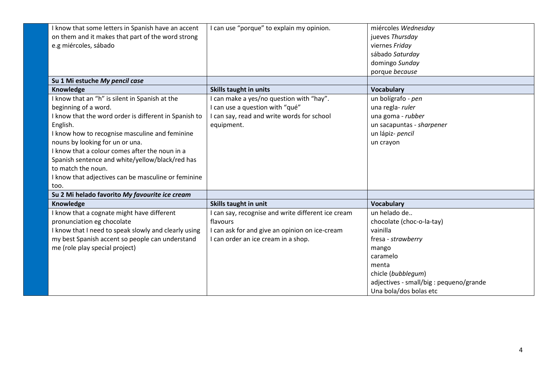| I know that some letters in Spanish have an accent<br>on them and it makes that part of the word strong | I can use "porque" to explain my opinion.          | miércoles Wednesday<br>jueves Thursday  |
|---------------------------------------------------------------------------------------------------------|----------------------------------------------------|-----------------------------------------|
| e.g miércoles, sábado                                                                                   |                                                    | viernes Friday                          |
|                                                                                                         |                                                    | sábado Saturday                         |
|                                                                                                         |                                                    | domingo Sunday                          |
|                                                                                                         |                                                    | porque because                          |
| Su 1 Mi estuche My pencil case                                                                          |                                                    |                                         |
| Knowledge                                                                                               | <b>Skills taught in units</b>                      | <b>Vocabulary</b>                       |
| I know that an "h" is silent in Spanish at the                                                          | I can make a yes/no question with "hay".           | un bolígrafo - pen                      |
| beginning of a word.                                                                                    | I can use a question with "qué"                    | una regla- ruler                        |
| I know that the word order is different in Spanish to                                                   | I can say, read and write words for school         | una goma - rubber                       |
| English.                                                                                                | equipment.                                         | un sacapuntas - sharpener               |
| I know how to recognise masculine and feminine                                                          |                                                    | un lápiz- pencil                        |
| nouns by looking for un or una.                                                                         |                                                    | un crayon                               |
| I know that a colour comes after the noun in a                                                          |                                                    |                                         |
| Spanish sentence and white/yellow/black/red has                                                         |                                                    |                                         |
| to match the noun.                                                                                      |                                                    |                                         |
| I know that adjectives can be masculine or feminine                                                     |                                                    |                                         |
| too.                                                                                                    |                                                    |                                         |
| Su 2 Mi helado favorito My favourite ice cream                                                          |                                                    |                                         |
| Knowledge                                                                                               | Skills taught in unit                              | <b>Vocabulary</b>                       |
| I know that a cognate might have different                                                              | I can say, recognise and write different ice cream | un helado de                            |
| pronunciation eg chocolate                                                                              | flavours                                           | chocolate (choc-o-la-tay)               |
| I know that I need to speak slowly and clearly using                                                    | I can ask for and give an opinion on ice-cream     | vainilla                                |
| my best Spanish accent so people can understand                                                         | I can order an ice cream in a shop.                | fresa - strawberry                      |
| me (role play special project)                                                                          |                                                    | mango                                   |
|                                                                                                         |                                                    | caramelo                                |
|                                                                                                         |                                                    | menta                                   |
|                                                                                                         |                                                    | chicle (bubblegum)                      |
|                                                                                                         |                                                    | adjectives - small/big : pequeno/grande |
|                                                                                                         |                                                    | Una bola/dos bolas etc                  |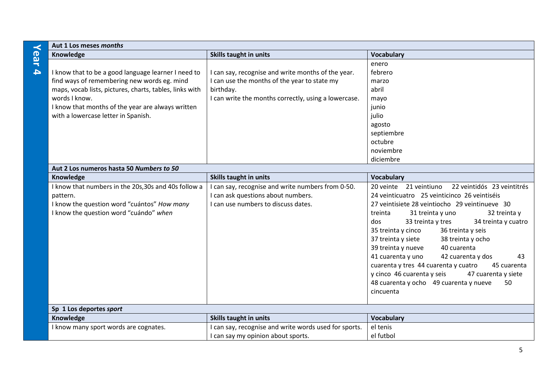| $\prec$          | Aut 1 Los meses months                                  |                                                       |                                                                                     |
|------------------|---------------------------------------------------------|-------------------------------------------------------|-------------------------------------------------------------------------------------|
| ear              | Knowledge                                               | <b>Skills taught in units</b>                         | <b>Vocabulary</b>                                                                   |
|                  |                                                         |                                                       | enero                                                                               |
| $\blacktriangle$ | I know that to be a good language learner I need to     | I can say, recognise and write months of the year.    | febrero                                                                             |
|                  | find ways of remembering new words eg. mind             | I can use the months of the year to state my          | marzo                                                                               |
|                  | maps, vocab lists, pictures, charts, tables, links with | birthday.                                             | abril                                                                               |
|                  | words I know.                                           | I can write the months correctly, using a lowercase.  | mayo                                                                                |
|                  | I know that months of the year are always written       |                                                       | junio                                                                               |
|                  | with a lowercase letter in Spanish.                     |                                                       | julio                                                                               |
|                  |                                                         |                                                       | agosto                                                                              |
|                  |                                                         |                                                       | septiembre                                                                          |
|                  |                                                         |                                                       | octubre                                                                             |
|                  |                                                         |                                                       | noviembre                                                                           |
|                  |                                                         |                                                       | diciembre                                                                           |
|                  | Aut 2 Los numeros hasta 50 Numbers to 50                |                                                       |                                                                                     |
|                  | Knowledge                                               | Skills taught in units                                | <b>Vocabulary</b>                                                                   |
|                  | I know that numbers in the 20s, 30s and 40s follow a    | I can say, recognise and write numbers from 0-50.     | 22 veintidós 23 veintitrés<br>20 veinte 21 veintiuno                                |
|                  | pattern.                                                | I can ask questions about numbers.                    | 24 veinticuatro 25 veinticinco 26 veintiséis                                        |
|                  | I know the question word "cuántos" How many             | I can use numbers to discuss dates.                   | 27 veintisiete 28 veintiocho 29 veintinueve 30<br>treinta                           |
|                  | I know the question word "cuándo" when                  |                                                       | 31 treinta y uno<br>32 treinta y<br>33 treinta y tres<br>34 treinta y cuatro<br>dos |
|                  |                                                         |                                                       | 36 treinta y seis<br>35 treinta y cinco                                             |
|                  |                                                         |                                                       | 38 treinta y ocho<br>37 treinta y siete                                             |
|                  |                                                         |                                                       | 40 cuarenta<br>39 treinta y nueve                                                   |
|                  |                                                         |                                                       | 41 cuarenta y uno<br>42 cuarenta y dos<br>43                                        |
|                  |                                                         |                                                       | cuarenta y tres 44 cuarenta y cuatro<br>45 cuarenta                                 |
|                  |                                                         |                                                       | y cinco 46 cuarenta y seis<br>47 cuarenta y siete                                   |
|                  |                                                         |                                                       | 48 cuarenta y ocho 49 cuarenta y nueve<br>50                                        |
|                  |                                                         |                                                       | cincuenta                                                                           |
|                  |                                                         |                                                       |                                                                                     |
|                  | Sp 1 Los deportes sport                                 |                                                       |                                                                                     |
|                  | Knowledge                                               | Skills taught in units                                | <b>Vocabulary</b>                                                                   |
|                  | I know many sport words are cognates.                   | I can say, recognise and write words used for sports. | el tenis                                                                            |
|                  |                                                         | I can say my opinion about sports.                    | el futbol                                                                           |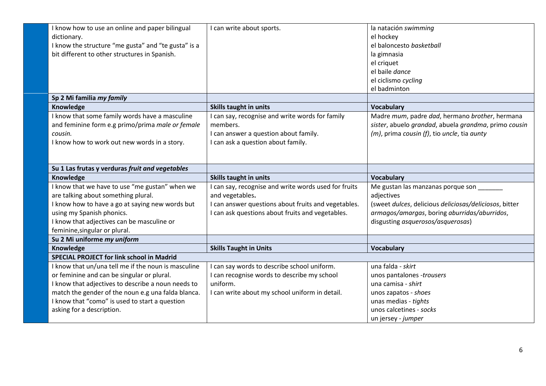| I know how to use an online and paper bilingual     | I can write about sports.                            | la natación swimming                                   |
|-----------------------------------------------------|------------------------------------------------------|--------------------------------------------------------|
| dictionary.                                         |                                                      | el hockey                                              |
| I know the structure "me gusta" and "te gusta" is a |                                                      | el baloncesto basketball                               |
| bit different to other structures in Spanish.       |                                                      | la gimnasia                                            |
|                                                     |                                                      | el criquet                                             |
|                                                     |                                                      | el baile dance                                         |
|                                                     |                                                      | el ciclismo cycling                                    |
|                                                     |                                                      | el badminton                                           |
| Sp 2 Mi familia my family                           |                                                      |                                                        |
| Knowledge                                           | Skills taught in units                               | Vocabulary                                             |
| I know that some family words have a masculine      | I can say, recognise and write words for family      | Madre mum, padre dad, hermano brother, hermana         |
| and feminine form e.g primo/prima male or female    | members.                                             | sister, abuelo grandad, abuela grandma, primo cousin   |
| cousin.                                             | I can answer a question about family.                | $(m)$ , prima cousin (f), tio uncle, tia aunty         |
| I know how to work out new words in a story.        | I can ask a question about family.                   |                                                        |
|                                                     |                                                      |                                                        |
|                                                     |                                                      |                                                        |
| Su 1 Las frutas y verduras fruit and vegetables     |                                                      |                                                        |
|                                                     |                                                      |                                                        |
| Knowledge                                           | Skills taught in units                               | Vocabulary                                             |
| I know that we have to use "me gustan" when we      | I can say, recognise and write words used for fruits | Me gustan las manzanas porque son                      |
| are talking about something plural.                 | and vegetables.                                      | adjectives                                             |
| I know how to have a go at saying new words but     | I can answer questions about fruits and vegetables.  | (sweet dulces, delicious deliciosas/deliciosos, bitter |
| using my Spanish phonics.                           | I can ask questions about fruits and vegetables.     | armagos/amargas, boring aburridas/aburridos,           |
| I know that adjectives can be masculine or          |                                                      | disgusting asquerosos/asquerosas)                      |
| feminine, singular or plural.                       |                                                      |                                                        |
| Su 2 Mi uniforme my uniform                         |                                                      |                                                        |
| Knowledge                                           | <b>Skills Taught in Units</b>                        | <b>Vocabulary</b>                                      |
| <b>SPECIAL PROJECT for link school in Madrid</b>    |                                                      |                                                        |
| I know that un/una tell me if the noun is masculine | I can say words to describe school uniform.          | una falda - skirt                                      |
| or feminine and can be singular or plural.          | I can recognise words to describe my school          | unos pantalones -trousers                              |
| I know that adjectives to describe a noun needs to  | uniform.                                             | una camisa - shirt                                     |
| match the gender of the noun e.g una falda blanca.  | I can write about my school uniform in detail.       | unos zapatos - shoes                                   |
| I know that "como" is used to start a question      |                                                      | unas medias - tights                                   |
| asking for a description.                           |                                                      | unos calcetines - socks                                |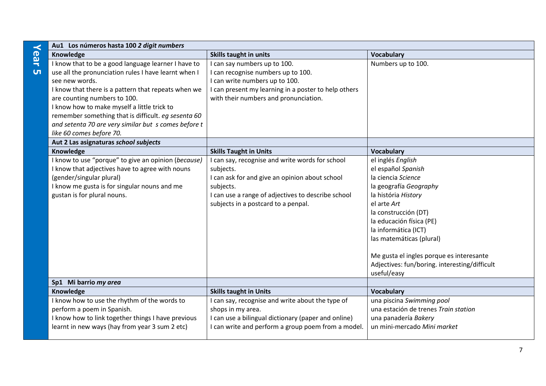| $\prec$   | Au1 Los números hasta 100 2 digit numbers            |                                                      |                                               |
|-----------|------------------------------------------------------|------------------------------------------------------|-----------------------------------------------|
| ear       | Knowledge                                            | <b>Skills taught in units</b>                        | <b>Vocabulary</b>                             |
|           | I know that to be a good language learner I have to  | I can say numbers up to 100.                         | Numbers up to 100.                            |
| <b>UT</b> | use all the pronunciation rules I have learnt when I | I can recognise numbers up to 100.                   |                                               |
|           | see new words.                                       | I can write numbers up to 100.                       |                                               |
|           | I know that there is a pattern that repeats when we  | I can present my learning in a poster to help others |                                               |
|           | are counting numbers to 100.                         | with their numbers and pronunciation.                |                                               |
|           | I know how to make myself a little trick to          |                                                      |                                               |
|           | remember something that is difficult. eq sesenta 60  |                                                      |                                               |
|           | and setenta 70 are very similar but s comes before t |                                                      |                                               |
|           | like 60 comes before 70.                             |                                                      |                                               |
|           | Aut 2 Las asignaturas school subjects                |                                                      |                                               |
|           | Knowledge                                            | <b>Skills Taught in Units</b>                        | <b>Vocabulary</b>                             |
|           | I know to use "porque" to give an opinion (because)  | I can say, recognise and write words for school      | el inglés English                             |
|           | I know that adjectives have to agree with nouns      | subjects.                                            | el español Spanish                            |
|           | (gender/singular plural)                             | I can ask for and give an opinion about school       | la ciencia Science                            |
|           | I know me gusta is for singular nouns and me         | subjects.                                            | la geografía Geography                        |
|           | gustan is for plural nouns.                          | I can use a range of adjectives to describe school   | la história History                           |
|           |                                                      | subjects in a postcard to a penpal.                  | el arte Art                                   |
|           |                                                      |                                                      | la construcción (DT)                          |
|           |                                                      |                                                      | la educación física (PE)                      |
|           |                                                      |                                                      | la informática (ICT)                          |
|           |                                                      |                                                      | las matemáticas (plural)                      |
|           |                                                      |                                                      |                                               |
|           |                                                      |                                                      | Me gusta el ingles porque es interesante      |
|           |                                                      |                                                      | Adjectives: fun/boring. interesting/difficult |
|           |                                                      |                                                      | useful/easy                                   |
|           | Sp1 Mi barrio my area                                |                                                      |                                               |
|           | Knowledge                                            | <b>Skills taught in Units</b>                        | <b>Vocabulary</b>                             |
|           | I know how to use the rhythm of the words to         | can say, recognise and write about the type of       | una piscina Swimming pool                     |
|           | perform a poem in Spanish.                           | shops in my area.                                    | una estación de trenes Train station          |
|           | I know how to link together things I have previous   | I can use a bilingual dictionary (paper and online)  | una panadería Bakery                          |
|           | learnt in new ways (hay from year 3 sum 2 etc)       | I can write and perform a group poem from a model.   | un mini-mercado Mini market                   |
|           |                                                      |                                                      |                                               |

7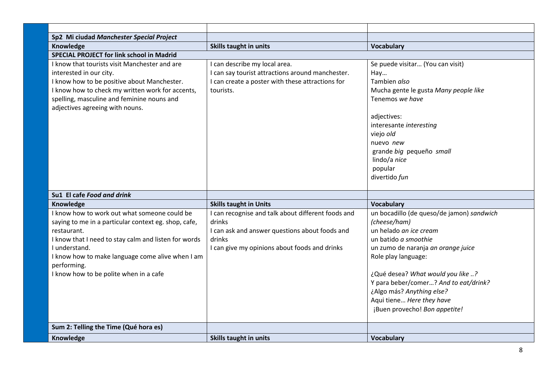| Sp2 Mi ciudad Manchester Special Project                                                                                                                                                                                                                                                                  |                                                                                                                                                                           |                                                                                                                                                                                                                                                                                                                                                   |
|-----------------------------------------------------------------------------------------------------------------------------------------------------------------------------------------------------------------------------------------------------------------------------------------------------------|---------------------------------------------------------------------------------------------------------------------------------------------------------------------------|---------------------------------------------------------------------------------------------------------------------------------------------------------------------------------------------------------------------------------------------------------------------------------------------------------------------------------------------------|
| Knowledge                                                                                                                                                                                                                                                                                                 | <b>Skills taught in units</b>                                                                                                                                             | <b>Vocabulary</b>                                                                                                                                                                                                                                                                                                                                 |
| <b>SPECIAL PROJECT for link school in Madrid</b>                                                                                                                                                                                                                                                          |                                                                                                                                                                           |                                                                                                                                                                                                                                                                                                                                                   |
| I know that tourists visit Manchester and are<br>interested in our city.<br>I know how to be positive about Manchester.<br>I know how to check my written work for accents,<br>spelling, masculine and feminine nouns and<br>adjectives agreeing with nouns.                                              | I can describe my local area.<br>I can say tourist attractions around manchester.<br>I can create a poster with these attractions for<br>tourists.                        | Se puede visitar (You can visit)<br>Hay<br>Tambien also<br>Mucha gente le gusta Many people like<br>Tenemos we have<br>adjectives:<br>interesante interesting<br>viejo old<br>nuevo new<br>grande big pequeño small<br>lindo/a nice<br>popular<br>divertido fun                                                                                   |
| Su1 El cafe Food and drink                                                                                                                                                                                                                                                                                |                                                                                                                                                                           |                                                                                                                                                                                                                                                                                                                                                   |
| Knowledge                                                                                                                                                                                                                                                                                                 | <b>Skills taught in Units</b>                                                                                                                                             | <b>Vocabulary</b>                                                                                                                                                                                                                                                                                                                                 |
| I know how to work out what someone could be<br>saying to me in a particular context eg. shop, cafe,<br>restaurant.<br>I know that I need to stay calm and listen for words<br>I understand.<br>I know how to make language come alive when I am<br>performing.<br>I know how to be polite when in a cafe | I can recognise and talk about different foods and<br>drinks<br>I can ask and answer questions about foods and<br>drinks<br>I can give my opinions about foods and drinks | un bocadillo (de queso/de jamon) sandwich<br>(cheese/ham)<br>un helado an ice cream<br>un batido a smoothie<br>un zumo de naranja an orange juice<br>Role play language:<br>¿Qué desea? What would you like ?<br>Y para beber/comer? And to eat/drink?<br>¿Algo más? Anything else?<br>Aqui tiene Here they have<br>¡Buen provecho! Bon appetite! |
| Sum 2: Telling the Time (Qué hora es)                                                                                                                                                                                                                                                                     |                                                                                                                                                                           |                                                                                                                                                                                                                                                                                                                                                   |
| Knowledge                                                                                                                                                                                                                                                                                                 | <b>Skills taught in units</b>                                                                                                                                             | <b>Vocabulary</b>                                                                                                                                                                                                                                                                                                                                 |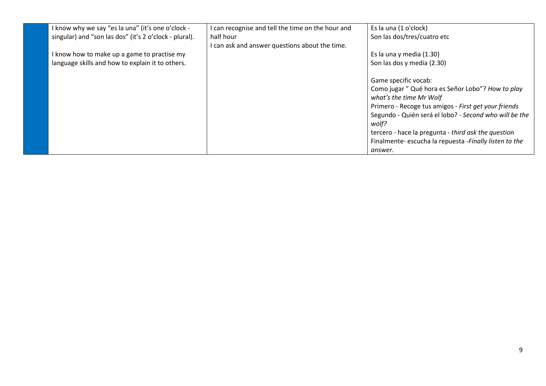| I know why we say "es la una" (it's one o'clock -      | I can recognise and tell the time on the hour and | Es la una (1 o'clock)                                  |
|--------------------------------------------------------|---------------------------------------------------|--------------------------------------------------------|
| singular) and "son las dos" (it's 2 o'clock - plural). | half hour                                         | Son las dos/tres/cuatro etc                            |
|                                                        | I can ask and answer questions about the time.    |                                                        |
| I know how to make up a game to practise my            |                                                   | Es la una y media (1.30)                               |
| language skills and how to explain it to others.       |                                                   | Son las dos y media (2.30)                             |
|                                                        |                                                   |                                                        |
|                                                        |                                                   | Game specific vocab:                                   |
|                                                        |                                                   | Como jugar" Qué hora es Señor Lobo"? How to play       |
|                                                        |                                                   | what's the time Mr Wolf                                |
|                                                        |                                                   | Primero - Recoge tus amigos - First get your friends   |
|                                                        |                                                   | Segundo - Quién será el lobo? - Second who will be the |
|                                                        |                                                   | wolf?                                                  |
|                                                        |                                                   | tercero - hace la pregunta - third ask the question    |
|                                                        |                                                   | Finalmente-escucha la repuesta -Finally listen to the  |
|                                                        |                                                   | answer.                                                |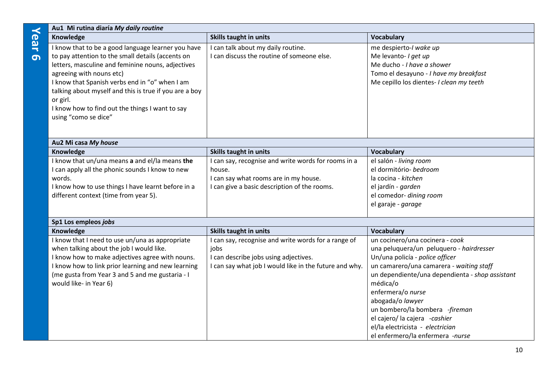| $\prec$          | Au1 Mi rutina diaría My daily routine                                                                                                                                                                                                                                                                                                                                                       |                                                                                                                                                                |                                                                                                                                                                                                                                                                                                                                                                                                               |
|------------------|---------------------------------------------------------------------------------------------------------------------------------------------------------------------------------------------------------------------------------------------------------------------------------------------------------------------------------------------------------------------------------------------|----------------------------------------------------------------------------------------------------------------------------------------------------------------|---------------------------------------------------------------------------------------------------------------------------------------------------------------------------------------------------------------------------------------------------------------------------------------------------------------------------------------------------------------------------------------------------------------|
|                  | Knowledge                                                                                                                                                                                                                                                                                                                                                                                   | <b>Skills taught in units</b>                                                                                                                                  | <b>Vocabulary</b>                                                                                                                                                                                                                                                                                                                                                                                             |
| ear<br><u> က</u> | I know that to be a good language learner you have<br>to pay attention to the small details (accents on<br>letters, masculine and feminine nouns, adjectives<br>agreeing with nouns etc)<br>I know that Spanish verbs end in "o" when I am<br>talking about myself and this is true if you are a boy<br>or girl.<br>I know how to find out the things I want to say<br>using "como se dice" | I can talk about my daily routine.<br>I can discuss the routine of someone else.                                                                               | me despierto-I wake up<br>Me levanto- I get up<br>Me ducho - I have a shower<br>Tomo el desayuno - I have my breakfast<br>Me cepillo los dientes- I clean my teeth                                                                                                                                                                                                                                            |
|                  | Au2 Mi casa My house                                                                                                                                                                                                                                                                                                                                                                        |                                                                                                                                                                |                                                                                                                                                                                                                                                                                                                                                                                                               |
|                  | Knowledge                                                                                                                                                                                                                                                                                                                                                                                   | <b>Skills taught in units</b>                                                                                                                                  | <b>Vocabulary</b>                                                                                                                                                                                                                                                                                                                                                                                             |
|                  | I know that un/una means a and el/la means the<br>I can apply all the phonic sounds I know to new<br>words.<br>I know how to use things I have learnt before in a<br>different context (time from year 5).                                                                                                                                                                                  | I can say, recognise and write words for rooms in a<br>house.<br>I can say what rooms are in my house.<br>I can give a basic description of the rooms.         | el salón - living room<br>el dormitório- bedroom<br>la cocina - kitchen<br>el jardín - garden<br>el comedor- dining room<br>el garaje - garage                                                                                                                                                                                                                                                                |
|                  | Sp1 Los empleos jobs                                                                                                                                                                                                                                                                                                                                                                        |                                                                                                                                                                |                                                                                                                                                                                                                                                                                                                                                                                                               |
|                  | Knowledge                                                                                                                                                                                                                                                                                                                                                                                   | <b>Skills taught in units</b>                                                                                                                                  | <b>Vocabulary</b>                                                                                                                                                                                                                                                                                                                                                                                             |
|                  | I know that I need to use un/una as appropriate<br>when talking about the job I would like.<br>I know how to make adjectives agree with nouns.<br>I know how to link prior learning and new learning<br>(me gusta from Year 3 and 5 and me gustaria - I<br>would like- in Year 6)                                                                                                           | I can say, recognise and write words for a range of<br>jobs<br>I can describe jobs using adjectives.<br>I can say what job I would like in the future and why. | un cocinero/una cocinera - cook<br>una peluquera/un peluquero - hairdresser<br>Un/una policía - police officer<br>un camarero/una camarera - waiting staff<br>un dependiente/una dependienta - shop assistant<br>médica/o<br>enfermera/o nurse<br>abogada/o lawyer<br>un bombero/la bombera -fireman<br>el cajero/ la cajera -cashier<br>el/la electricista - electrician<br>el enfermero/la enfermera -nurse |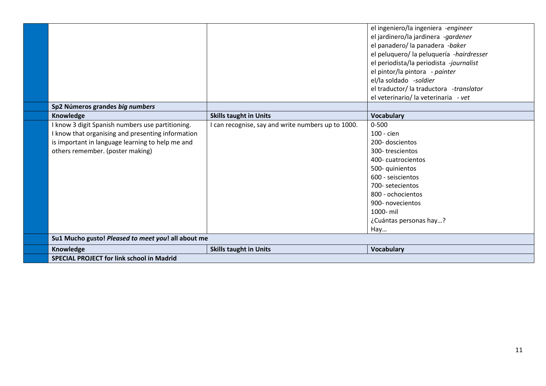|                                                    |                                                  | el ingeniero/la ingeniera -engineer      |
|----------------------------------------------------|--------------------------------------------------|------------------------------------------|
|                                                    |                                                  | el jardinero/la jardinera -gardener      |
|                                                    |                                                  | el panadero/ la panadera -baker          |
|                                                    |                                                  | el peluquero/ la peluquería -hairdresser |
|                                                    |                                                  | el periodista/la periodista -journalist  |
|                                                    |                                                  | el pintor/la pintora - painter           |
|                                                    |                                                  | el/la soldado -soldier                   |
|                                                    |                                                  | el traductor/ la traductora -translator  |
|                                                    |                                                  | el veterinario/ la veterinaria - vet     |
| Sp2 Números grandes big numbers                    |                                                  |                                          |
| Knowledge                                          | <b>Skills taught in Units</b>                    | <b>Vocabulary</b>                        |
| I know 3 digit Spanish numbers use partitioning.   | can recognise, say and write numbers up to 1000. | $0 - 500$                                |
| I know that organising and presenting information  |                                                  | 100 - cien                               |
| is important in language learning to help me and   |                                                  | 200-doscientos                           |
| others remember. (poster making)                   |                                                  | 300-trescientos                          |
|                                                    |                                                  | 400-cuatrocientos                        |
|                                                    |                                                  | 500-quinientos                           |
|                                                    |                                                  | 600 - seiscientos                        |
|                                                    |                                                  | 700- setecientos                         |
|                                                    |                                                  | 800 - ochocientos                        |
|                                                    |                                                  | 900- novecientos                         |
|                                                    |                                                  | 1000- mil                                |
|                                                    |                                                  | ¿Cuántas personas hay?                   |
|                                                    |                                                  | Hay                                      |
| Su1 Mucho gusto! Pleased to meet you! all about me |                                                  |                                          |
| Knowledge                                          | <b>Skills taught in Units</b>                    | <b>Vocabulary</b>                        |
| <b>SPECIAL PROJECT for link school in Madrid</b>   |                                                  |                                          |